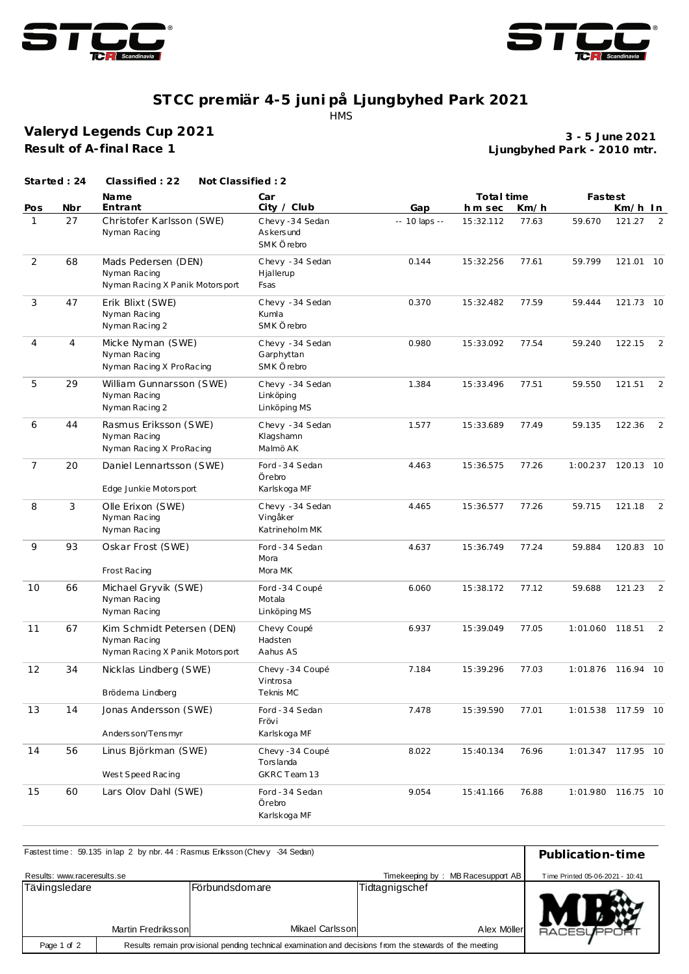



## **ST CC premiär 4-5 juni på Ljungbyhed Park 2021** HMS

**Valeryd Legends Cup 2021 Result of A-final Race 1**

**Ljungbyhed Park - 2010 mtr. 3 - 5 June 2021**

|                     | Started: 24 | Classified: 22<br>Not Classified: 2                                           |                                                            |                      |                     |               |                    |                   |                |
|---------------------|-------------|-------------------------------------------------------------------------------|------------------------------------------------------------|----------------------|---------------------|---------------|--------------------|-------------------|----------------|
|                     |             | <b>Name</b>                                                                   | Car                                                        |                      | Total time          |               | Fastest            |                   |                |
| Pos<br>$\mathbf{1}$ | Nbr<br>27   | Entrant<br>Christofer Karlsson (SWE)<br>Nyman Racing                          | City / Club<br>Chevy-34 Sedan<br>As kers und<br>SMK Örebro | Gap<br>-- 10 laps -- | hm sec<br>15:32.112 | Km/h<br>77.63 | 59.670             | Km/h In<br>121.27 | 2              |
| 2                   | 68          | Mads Pedersen (DEN)<br>Nyman Racing<br>Nyman Racing X Panik Motorsport        | Chevy - 34 Sedan<br>Hjallerup<br>Fsas                      | 0.144                | 15:32.256           | 77.61         | 59.799             | 121.01 10         |                |
| 3                   | 47          | Erik Blixt (SWE)<br>Nyman Racing<br>Nyman Racing 2                            | Chevy - 34 Sedan<br>Kumla<br>SMK Örebro                    | 0.370                | 15:32.482           | 77.59         | 59.444             | 121.73 10         |                |
| 4                   | 4           | Micke Nyman (SWE)<br>Nyman Racing<br>Nyman Racing X ProRacing                 | Chevy - 34 Sedan<br>Garphyttan<br>SMK Örebro               | 0.980                | 15:33.092           | 77.54         | 59.240             | 122.15            | 2              |
| 5                   | 29          | William Gunnarsson (SWE)<br>Nyman Racing<br>Nyman Racing 2                    | Chevy - 34 Sedan<br>Linköping<br>Linköping MS              | 1.384                | 15:33.496           | 77.51         | 59.550             | 121.51            | $\overline{2}$ |
| 6                   | 44          | Rasmus Eriksson (SWE)<br>Nyman Racing<br>Nyman Racing X ProRacing             | Chevy - 34 Sedan<br>Klagshamn<br>Malmö AK                  | 1.577                | 15:33.689           | 77.49         | 59.135             | 122.36            | $\overline{2}$ |
| $\overline{7}$      | 20          | Daniel Lennartsson (SWE)<br>Edge Junkie Motorsport                            | Ford - 34 Sedan<br>Örebro<br>Karlskoga MF                  | 4.463                | 15:36.575           | 77.26         | 1:00.237 120.13 10 |                   |                |
| 8                   | 3           | Olle Erixon (SWE)<br>Nyman Racing<br>Nyman Racing                             | Chevy - 34 Sedan<br>Vingåker<br>Katrineholm MK             | 4.465                | 15:36.577           | 77.26         | 59.715             | 121.18            | 2              |
| 9                   | 93          | Oskar Frost (SWE)<br>Frost Racing                                             | Ford - 34 Sedan<br>Mora<br>Mora MK                         | 4.637                | 15:36.749           | 77.24         | 59.884             | 120.83 10         |                |
| 10                  | 66          | Michael Gryvik (SWE)<br>Nyman Racing<br>Nyman Racing                          | Ford -34 Coupé<br>Motala<br>Linköping MS                   | 6.060                | 15:38.172           | 77.12         | 59.688             | 121.23            | 2              |
| 11                  | 67          | Kim Schmidt Petersen (DEN)<br>Nyman Racing<br>Nyman Racing X Panik Motorsport | Chevy Coupé<br>Hadsten<br>Aahus AS                         | 6.937                | 15:39.049           | 77.05         | 1:01.060           | 118.51            | 2              |
| 12                  | 34          | Nicklas Lindberg (SWE)<br>Brödema Lindberg                                    | Chevy -34 Coupé<br>Vintrosa<br>Teknis MC                   | 7.184                | 15:39.296           | 77.03         | 1:01.876 116.94 10 |                   |                |
| 13                  | 14          | Jonas Andersson (SWE)<br>Anders son/Tens myr                                  | Ford - 34 Sedan<br>Frövi<br>Karlskoga MF                   | 7.478                | 15:39.590           | 77.01         | 1:01.538 117.59 10 |                   |                |
| 14                  | 56          | Linus Björkman (SWE)<br>West Speed Racing                                     | Chevy-34 Coupé<br>Torslanda<br>GKRC Team 13                | 8.022                | 15:40.134           | 76.96         | 1:01.347 117.95 10 |                   |                |
| 15                  | 60          | Lars Olov Dahl (SWE)                                                          | Ford - 34 Sedan<br>Örebro<br>Karlskoga MF                  | 9.054                | 15:41.166           | 76.88         | 1:01.980 116.75 10 |                   |                |

| Fastest time: 59.135 in lap 2 by nbr. 44 : Rasmus Erksson (Chevy -34 Sedan) | Publication-time                                                                                        |                 |                                   |                   |                                 |
|-----------------------------------------------------------------------------|---------------------------------------------------------------------------------------------------------|-----------------|-----------------------------------|-------------------|---------------------------------|
| Results: www.raceresults.se                                                 |                                                                                                         |                 | Timekeeping by:                   | MB Racesupport AB | Time Printed 05-06-2021 - 10:41 |
| Tävlingsledare                                                              | Martin Fredriksson                                                                                      | lFörbundsdomare | Tidtagnigschef<br>Mikael Carlsson | Alex Möller       | <b>RACESLIFPOR</b>              |
| Page 1 of 2                                                                 | Results remain provisional pending technical examination and decisions from the stewards of the meeting |                 |                                   |                   |                                 |